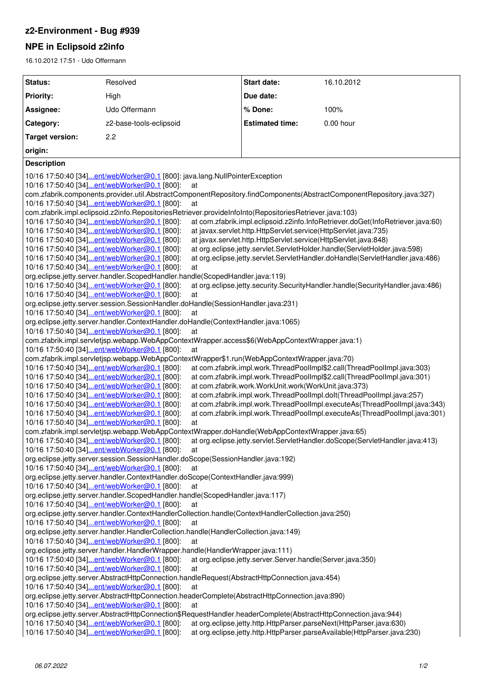## **z2-Environment - Bug #939**

# **NPE in Eclipsoid z2info**

16.10.2012 17:51 - Udo Offermann

| Status:                                                                                                                        | Resolved                                                                                                                  | Start date:                                                | 16.10.2012                                                                   |
|--------------------------------------------------------------------------------------------------------------------------------|---------------------------------------------------------------------------------------------------------------------------|------------------------------------------------------------|------------------------------------------------------------------------------|
| <b>Priority:</b>                                                                                                               | High                                                                                                                      | Due date:                                                  |                                                                              |
| Assignee:                                                                                                                      | Udo Offermann                                                                                                             | % Done:                                                    | 100%                                                                         |
| Category:                                                                                                                      | z2-base-tools-eclipsoid                                                                                                   | <b>Estimated time:</b>                                     | 0.00 hour                                                                    |
| <b>Target version:</b>                                                                                                         | 2.2                                                                                                                       |                                                            |                                                                              |
| origin:                                                                                                                        |                                                                                                                           |                                                            |                                                                              |
| <b>Description</b>                                                                                                             |                                                                                                                           |                                                            |                                                                              |
|                                                                                                                                |                                                                                                                           |                                                            |                                                                              |
| 10/16 17:50:40 [34]ent/webWorker@0.1 [800]: java.lang.NullPointerException                                                     |                                                                                                                           |                                                            |                                                                              |
| 10/16 17:50:40 [34]ent/webWorker@0.1 [800]:<br>at                                                                              |                                                                                                                           |                                                            |                                                                              |
| com.zfabrik.components.provider.util.AbstractComponentRepository.findComponents(AbstractComponentRepository.java:327)          |                                                                                                                           |                                                            |                                                                              |
| 10/16 17:50:40 [34]ent/webWorker@0.1 [800]:<br>at                                                                              |                                                                                                                           |                                                            |                                                                              |
| com.zfabrik.impl.eclipsoid.z2info.RepositoriesRetriever.provideInfoInto(RepositoriesRetriever.java:103)                        |                                                                                                                           |                                                            |                                                                              |
| 10/16 17:50:40 [34]ent/webWorker@0.1 [800]:<br>at com.zfabrik.impl.eclipsoid.z2info.InfoRetriever.doGet(InfoRetriever.java:60) |                                                                                                                           |                                                            |                                                                              |
| 10/16 17:50:40 [34]ent/webWorker@0.1 [800]:<br>at javax.servlet.http.HttpServlet.service(HttpServlet.java:735)                 |                                                                                                                           |                                                            |                                                                              |
| 10/16 17:50:40 [34]ent/webWorker@0.1 [800]:<br>at javax.servlet.http.HttpServlet.service(HttpServlet.java:848)                 |                                                                                                                           |                                                            |                                                                              |
| 10/16 17:50:40 [34]ent/webWorker@0.1 [800]:<br>at org.eclipse.jetty.servlet.ServletHolder.handle(ServletHolder.java:598)       |                                                                                                                           |                                                            |                                                                              |
| 10/16 17:50:40 [34]ent/webWorker@0.1 [800]:<br>at org.eclipse.jetty.servlet.ServletHandler.doHandle(ServletHandler.java:486)   |                                                                                                                           |                                                            |                                                                              |
| 10/16 17:50:40 [34]ent/webWorker@0.1 [800]:<br>at                                                                              |                                                                                                                           |                                                            |                                                                              |
| org.eclipse.jetty.server.handler.ScopedHandler.handle(ScopedHandler.java:119)                                                  |                                                                                                                           |                                                            |                                                                              |
| at org.eclipse.jetty.security.SecurityHandler.handle(SecurityHandler.java:486)<br>10/16 17:50:40 [34]ent/webWorker@0.1 [800]:  |                                                                                                                           |                                                            |                                                                              |
| 10/16 17:50:40 [34]ent/webWorker@0.1 [800]:<br>at                                                                              |                                                                                                                           |                                                            |                                                                              |
| org.eclipse.jetty.server.session.SessionHandler.doHandle(SessionHandler.java:231)                                              |                                                                                                                           |                                                            |                                                                              |
| 10/16 17:50:40 [34]ent/webWorker@0.1 [800]:<br>at                                                                              |                                                                                                                           |                                                            |                                                                              |
| org.eclipse.jetty.server.handler.ContextHandler.doHandle(ContextHandler.java:1065)                                             |                                                                                                                           |                                                            |                                                                              |
| 10/16 17:50:40 [34]ent/webWorker@0.1 [800]:<br>at                                                                              |                                                                                                                           |                                                            |                                                                              |
| com.zfabrik.impl.servletjsp.webapp.WebAppContextWrapper.access\$6(WebAppContextWrapper.java:1)                                 |                                                                                                                           |                                                            |                                                                              |
| 10/16 17:50:40 [34]ent/webWorker@0.1 [800]:<br>at                                                                              |                                                                                                                           |                                                            |                                                                              |
| com.zfabrik.impl.servletjsp.webapp.WebAppContextWrapper\$1.run(WebAppContextWrapper.java:70)                                   |                                                                                                                           |                                                            |                                                                              |
| 10/16 17:50:40 [34]ent/webWorker@0.1 [800]:<br>at com.zfabrik.impl.work.ThreadPoolImpl\$2.call(ThreadPoolImpl.java:303)        |                                                                                                                           |                                                            |                                                                              |
| 10/16 17:50:40 [34]ent/webWorker@0.1 [800]:<br>at com.zfabrik.impl.work.ThreadPoolImpl\$2.call(ThreadPoolImpl.java:301)        |                                                                                                                           |                                                            |                                                                              |
|                                                                                                                                | 10/16 17:50:40 [34]ent/webWorker@0.1 [800]:<br>at com.zfabrik.work.WorkUnit.work(WorkUnit.java:373)                       |                                                            |                                                                              |
|                                                                                                                                | 10/16 17:50:40 [34]ent/webWorker@0.1 [800]:<br>at com.zfabrik.impl.work.ThreadPoolImpl.dolt(ThreadPoolImpl.java:257)      |                                                            |                                                                              |
|                                                                                                                                | 10/16 17:50:40 [34]ent/webWorker@0.1 [800]:<br>at com.zfabrik.impl.work.ThreadPoolImpl.executeAs(ThreadPoolImpl.java:343) |                                                            |                                                                              |
|                                                                                                                                | 10/16 17:50:40 [34]ent/webWorker@0.1 [800]:                                                                               |                                                            | at com.zfabrik.impl.work.ThreadPoolImpl.executeAs(ThreadPoolImpl.java:301)   |
|                                                                                                                                | 10/16 17:50:40 [34]ent/webWorker@0.1 [800]:<br>at                                                                         |                                                            |                                                                              |
| com.zfabrik.impl.servletjsp.webapp.WebAppContextWrapper.doHandle(WebAppContextWrapper.java:65)                                 |                                                                                                                           |                                                            |                                                                              |
|                                                                                                                                | 10/16 17:50:40 [34]ent/webWorker@0.1 [800]:                                                                               |                                                            | at org.eclipse.jetty.servlet.ServletHandler.doScope(ServletHandler.java:413) |
|                                                                                                                                | 10/16 17:50:40 [34]ent/webWorker@0.1 [800]:<br>at                                                                         |                                                            |                                                                              |
| org.eclipse.jetty.server.session.SessionHandler.doScope(SessionHandler.java:192)                                               |                                                                                                                           |                                                            |                                                                              |
| 10/16 17:50:40 [34]ent/webWorker@0.1 [800]:<br>at                                                                              |                                                                                                                           |                                                            |                                                                              |
| org.eclipse.jetty.server.handler.ContextHandler.doScope(ContextHandler.java:999)                                               |                                                                                                                           |                                                            |                                                                              |
| 10/16 17:50:40 [34]ent/webWorker@0.1 [800]:<br>at                                                                              |                                                                                                                           |                                                            |                                                                              |
|                                                                                                                                | org.eclipse.jetty.server.handler.ScopedHandler.handle(ScopedHandler.java:117)                                             |                                                            |                                                                              |
|                                                                                                                                | 10/16 17:50:40 [34]ent/webWorker@0.1 [800]:<br>at                                                                         |                                                            |                                                                              |
| org.eclipse.jetty.server.handler.ContextHandlerCollection.handle(ContextHandlerCollection.java:250)                            |                                                                                                                           |                                                            |                                                                              |
|                                                                                                                                | 10/16 17:50:40 [34]ent/webWorker@0.1 [800]:<br>at                                                                         |                                                            |                                                                              |
|                                                                                                                                | org.eclipse.jetty.server.handler.HandlerCollection.handle(HandlerCollection.java:149)                                     |                                                            |                                                                              |
|                                                                                                                                | 10/16 17:50:40 [34]ent/webWorker@0.1 [800]:<br>at                                                                         |                                                            |                                                                              |
| org.eclipse.jetty.server.handler.HandlerWrapper.handle(HandlerWrapper.java:111)                                                |                                                                                                                           |                                                            |                                                                              |
|                                                                                                                                | 10/16 17:50:40 [34]ent/webWorker@0.1 [800]:                                                                               | at org.eclipse.jetty.server.Server.handle(Server.java:350) |                                                                              |
|                                                                                                                                | 10/16 17:50:40 [34]ent/webWorker@0.1 [800]:<br>at                                                                         |                                                            |                                                                              |
| org.eclipse.jetty.server.AbstractHttpConnection.handleRequest(AbstractHttpConnection.java:454)                                 |                                                                                                                           |                                                            |                                                                              |
| 10/16 17:50:40 [34]ent/webWorker@0.1 [800]:<br>at                                                                              |                                                                                                                           |                                                            |                                                                              |
| org.eclipse.jetty.server.AbstractHttpConnection.headerComplete(AbstractHttpConnection.java:890)                                |                                                                                                                           |                                                            |                                                                              |
| 10/16 17:50:40 [34]ent/webWorker@0.1 [800]:<br>at                                                                              |                                                                                                                           |                                                            |                                                                              |
| org.eclipse.jetty.server.AbstractHttpConnection\$RequestHandler.headerComplete(AbstractHttpConnection.java:944)                |                                                                                                                           |                                                            |                                                                              |
| 10/16 17:50:40 [34]ent/webWorker@0.1 [800]:                                                                                    |                                                                                                                           |                                                            | at org.eclipse.jetty.http.HttpParser.parseNext(HttpParser.java:630)          |
| 10/16 17:50:40 [34]ent/webWorker@0.1 [800]:                                                                                    |                                                                                                                           |                                                            | at org.eclipse.jetty.http.HttpParser.parseAvailable(HttpParser.java:230)     |
|                                                                                                                                |                                                                                                                           |                                                            |                                                                              |